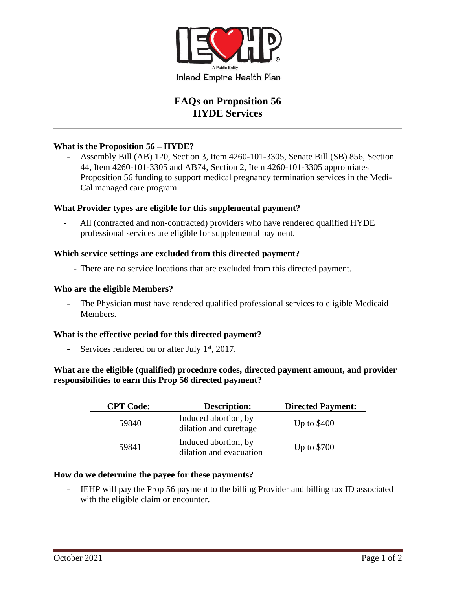

# **FAQs on Proposition 56 HYDE Services**

### **What is the Proposition 56 – HYDE?**

Assembly Bill (AB) 120, Section 3, Item 4260-101-3305, Senate Bill (SB) 856, Section 44, Item 4260-101-3305 and AB74, Section 2, Item 4260-101-3305 appropriates Proposition 56 funding to support medical pregnancy termination services in the Medi-Cal managed care program.

### **What Provider types are eligible for this supplemental payment?**

All (contracted and non-contracted) providers who have rendered qualified HYDE professional services are eligible for supplemental payment.

### **Which service settings are excluded from this directed payment?**

- There are no service locations that are excluded from this directed payment.

### **Who are the eligible Members?**

- The Physician must have rendered qualified professional services to eligible Medicaid Members.

### **What is the effective period for this directed payment?**

- Services rendered on or after July  $1<sup>st</sup>$ , 2017.

# **What are the eligible (qualified) procedure codes, directed payment amount, and provider responsibilities to earn this Prop 56 directed payment?**

| <b>CPT</b> Code: | <b>Description:</b>                             | <b>Directed Payment:</b> |
|------------------|-------------------------------------------------|--------------------------|
| 59840            | Induced abortion, by<br>dilation and curettage  | Up to $$400$             |
| 59841            | Induced abortion, by<br>dilation and evacuation | Up to \$700              |

### **How do we determine the payee for these payments?**

IEHP will pay the Prop 56 payment to the billing Provider and billing tax ID associated with the eligible claim or encounter.